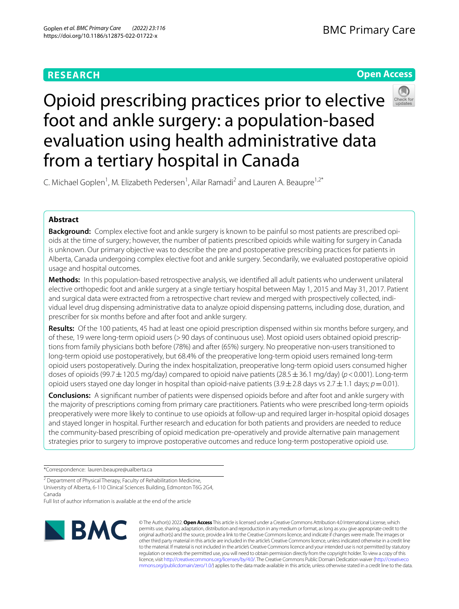# **RESEARCH**

# **Open Access**



# Opioid prescribing practices prior to elective foot and ankle surgery: a population-based evaluation using health administrative data from a tertiary hospital in Canada

C. Michael Goplen<sup>1</sup>, M. Elizabeth Pedersen<sup>1</sup>, Ailar Ramadi<sup>2</sup> and Lauren A. Beaupre<sup>1,2\*</sup>

# **Abstract**

**Background:** Complex elective foot and ankle surgery is known to be painful so most patients are prescribed opioids at the time of surgery; however, the number of patients prescribed opioids while waiting for surgery in Canada is unknown. Our primary objective was to describe the pre and postoperative prescribing practices for patients in Alberta, Canada undergoing complex elective foot and ankle surgery. Secondarily, we evaluated postoperative opioid usage and hospital outcomes.

**Methods:** In this population-based retrospective analysis, we identifed all adult patients who underwent unilateral elective orthopedic foot and ankle surgery at a single tertiary hospital between May 1, 2015 and May 31, 2017. Patient and surgical data were extracted from a retrospective chart review and merged with prospectively collected, individual level drug dispensing administrative data to analyze opioid dispensing patterns, including dose, duration, and prescriber for six months before and after foot and ankle surgery.

**Results:** Of the 100 patients, 45 had at least one opioid prescription dispensed within six months before surgery, and of these, 19 were long-term opioid users (>90 days of continuous use). Most opioid users obtained opioid prescriptions from family physicians both before (78%) and after (65%) surgery. No preoperative non-users transitioned to long-term opioid use postoperatively, but 68.4% of the preoperative long-term opioid users remained long-term opioid users postoperatively. During the index hospitalization, preoperative long-term opioid users consumed higher doses of opioids (99.7±120.5 mg/day) compared to opioid naive patients (28.5±36.1 mg/day) (*p*<0.001). Long-term opioid users stayed one day longer in hospital than opioid-naive patients  $(3.9 \pm 2.8$  days vs  $2.7 \pm 1.1$  days;  $p=0.01$ ).

**Conclusions:** A signifcant number of patients were dispensed opioids before and after foot and ankle surgery with the majority of prescriptions coming from primary care practitioners. Patients who were prescribed long-term opioids preoperatively were more likely to continue to use opioids at follow-up and required larger in-hospital opioid dosages and stayed longer in hospital. Further research and education for both patients and providers are needed to reduce the community-based prescribing of opioid medication pre-operatively and provide alternative pain management strategies prior to surgery to improve postoperative outcomes and reduce long-term postoperative opioid use.

\*Correspondence: lauren.beaupre@ualberta.ca

<sup>2</sup> Department of Physical Therapy, Faculty of Rehabilitation Medicine, University of Alberta, 6-110 Clinical Sciences Building, Edmonton T6G 2G4, Canada

Full list of author information is available at the end of the article



© The Author(s) 2022. **Open Access** This article is licensed under a Creative Commons Attribution 4.0 International License, which permits use, sharing, adaptation, distribution and reproduction in any medium or format, as long as you give appropriate credit to the original author(s) and the source, provide a link to the Creative Commons licence, and indicate if changes were made. The images or other third party material in this article are included in the article's Creative Commons licence, unless indicated otherwise in a credit line to the material. If material is not included in the article's Creative Commons licence and your intended use is not permitted by statutory regulation or exceeds the permitted use, you will need to obtain permission directly from the copyright holder. To view a copy of this licence, visit [http://creativecommons.org/licenses/by/4.0/.](http://creativecommons.org/licenses/by/4.0/) The Creative Commons Public Domain Dedication waiver ([http://creativeco](http://creativecommons.org/publicdomain/zero/1.0/) [mmons.org/publicdomain/zero/1.0/](http://creativecommons.org/publicdomain/zero/1.0/)) applies to the data made available in this article, unless otherwise stated in a credit line to the data.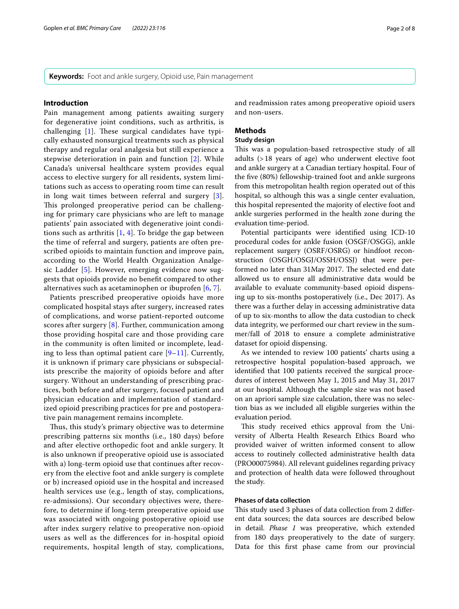**Keywords:** Foot and ankle surgery, Opioid use, Pain management

### **Introduction**

Pain management among patients awaiting surgery for degenerative joint conditions, such as arthritis, is challenging  $[1]$  $[1]$ . These surgical candidates have typically exhausted nonsurgical treatments such as physical therapy and regular oral analgesia but still experience a stepwise deterioration in pain and function [[2\]](#page-6-1). While Canada's universal healthcare system provides equal access to elective surgery for all residents, system limitations such as access to operating room time can result in long wait times between referral and surgery [[3\]](#page-6-2). This prolonged preoperative period can be challenging for primary care physicians who are left to manage patients' pain associated with degenerative joint conditions such as arthritis  $[1, 4]$  $[1, 4]$  $[1, 4]$ . To bridge the gap between the time of referral and surgery, patients are often prescribed opioids to maintain function and improve pain, according to the World Health Organization Analgesic Ladder [[5\]](#page-6-4). However, emerging evidence now suggests that opioids provide no beneft compared to other alternatives such as acetaminophen or ibuprofen [[6,](#page-6-5) [7\]](#page-6-6).

Patients prescribed preoperative opioids have more complicated hospital stays after surgery, increased rates of complications, and worse patient-reported outcome scores after surgery [\[8](#page-6-7)]. Further, communication among those providing hospital care and those providing care in the community is often limited or incomplete, leading to less than optimal patient care  $[9-11]$  $[9-11]$  $[9-11]$  $[9-11]$  $[9-11]$ . Currently, it is unknown if primary care physicians or subspecialists prescribe the majority of opioids before and after surgery. Without an understanding of prescribing practices, both before and after surgery, focused patient and physician education and implementation of standardized opioid prescribing practices for pre and postoperative pain management remains incomplete.

Thus, this study's primary objective was to determine prescribing patterns six months (i.e., 180 days) before and after elective orthopedic foot and ankle surgery. It is also unknown if preoperative opioid use is associated with a) long-term opioid use that continues after recovery from the elective foot and ankle surgery is complete or b) increased opioid use in the hospital and increased health services use (e.g., length of stay, complications, re-admissions). Our secondary objectives were, therefore, to determine if long-term preoperative opioid use was associated with ongoing postoperative opioid use after index surgery relative to preoperative non-opioid users as well as the diferences for in-hospital opioid requirements, hospital length of stay, complications, and readmission rates among preoperative opioid users and non-users.

# **Methods**

#### **Study design**

This was a population-based retrospective study of all adults (>18 years of age) who underwent elective foot and ankle surgery at a Canadian tertiary hospital. Four of the fve (80%) fellowship-trained foot and ankle surgeons from this metropolitan health region operated out of this hospital, so although this was a single center evaluation, this hospital represented the majority of elective foot and ankle surgeries performed in the health zone during the evaluation time-period.

Potential participants were identifed using ICD-10 procedural codes for ankle fusion (OSGF/OSGG), ankle replacement surgery (OSRF/OSRG) or hindfoot reconstruction (OSGH/OSGJ/OSSH/OSSJ) that were performed no later than 31 May 2017. The selected end date allowed us to ensure all administrative data would be available to evaluate community-based opioid dispensing up to six-months postoperatively (i.e., Dec 2017). As there was a further delay in accessing administrative data of up to six-months to allow the data custodian to check data integrity, we performed our chart review in the summer/fall of 2018 to ensure a complete administrative dataset for opioid dispensing.

As we intended to review 100 patients' charts using a retrospective hospital population-based approach, we identifed that 100 patients received the surgical procedures of interest between May 1, 2015 and May 31, 2017 at our hospital. Although the sample size was not based on an apriori sample size calculation, there was no selection bias as we included all eligible surgeries within the evaluation period.

This study received ethics approval from the University of Alberta Health Research Ethics Board who provided waiver of written informed consent to allow access to routinely collected administrative health data (PRO00075984). All relevant guidelines regarding privacy and protection of health data were followed throughout the study.

#### **Phases of data collection**

This study used 3 phases of data collection from 2 different data sources; the data sources are described below in detail. *Phase 1* was preoperative, which extended from 180 days preoperatively to the date of surgery. Data for this frst phase came from our provincial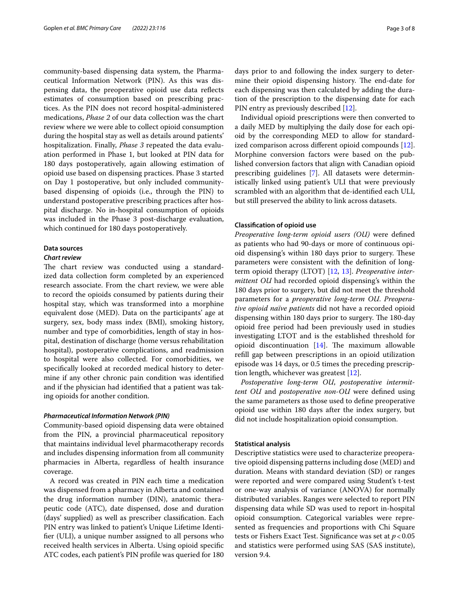community-based dispensing data system, the Pharmaceutical Information Network (PIN). As this was dispensing data, the preoperative opioid use data refects estimates of consumption based on prescribing practices. As the PIN does not record hospital-administered medications, *Phase 2* of our data collection was the chart review where we were able to collect opioid consumption during the hospital stay as well as details around patients' hospitalization. Finally, *Phase 3* repeated the data evaluation performed in Phase 1, but looked at PIN data for 180 days postoperatively, again allowing estimation of opioid use based on dispensing practices. Phase 3 started on Day 1 postoperative, but only included communitybased dispensing of opioids (i.e., through the PIN) to understand postoperative prescribing practices after hospital discharge. No in-hospital consumption of opioids was included in the Phase 3 post-discharge evaluation, which continued for 180 days postoperatively.

# **Data sources**

#### *Chart review*

The chart review was conducted using a standardized data collection form completed by an experienced research associate. From the chart review, we were able to record the opioids consumed by patients during their hospital stay, which was transformed into a morphine equivalent dose (MED). Data on the participants' age at surgery, sex, body mass index (BMI), smoking history, number and type of comorbidities, length of stay in hospital, destination of discharge (home versus rehabilitation hospital), postoperative complications, and readmission to hospital were also collected. For comorbidities, we specifcally looked at recorded medical history to determine if any other chronic pain condition was identifed and if the physician had identifed that a patient was taking opioids for another condition.

#### *Pharmaceutical Information Network (PIN)*

Community-based opioid dispensing data were obtained from the PIN, a provincial pharmaceutical repository that maintains individual level pharmacotherapy records and includes dispensing information from all community pharmacies in Alberta, regardless of health insurance coverage.

A record was created in PIN each time a medication was dispensed from a pharmacy in Alberta and contained the drug information number (DIN), anatomic therapeutic code (ATC), date dispensed, dose and duration (days' supplied) as well as prescriber classifcation. Each PIN entry was linked to patient's Unique Lifetime Identifer (ULI), a unique number assigned to all persons who received health services in Alberta. Using opioid specifc ATC codes, each patient's PIN profle was queried for 180 days prior to and following the index surgery to determine their opioid dispensing history. The end-date for each dispensing was then calculated by adding the duration of the prescription to the dispensing date for each PIN entry as previously described [[12\]](#page-7-2).

Individual opioid prescriptions were then converted to a daily MED by multiplying the daily dose for each opioid by the corresponding MED to allow for standardized comparison across diferent opioid compounds [\[12](#page-7-2)]. Morphine conversion factors were based on the published conversion factors that align with Canadian opioid prescribing guidelines [\[7](#page-6-6)]. All datasets were deterministically linked using patient's ULI that were previously scrambled with an algorithm that de-identifed each ULI, but still preserved the ability to link across datasets.

#### **Classifcation of opioid use**

*Preoperative long-term opioid users (OU)* were defned as patients who had 90-days or more of continuous opioid dispensing's within 180 days prior to surgery. These parameters were consistent with the defnition of longterm opioid therapy (LTOT) [\[12](#page-7-2), [13](#page-7-3)]. *Preoperative intermittent OU* had recorded opioid dispensing's within the 180 days prior to surgery, but did not meet the threshold parameters for a *preoperative long-term OU*. *Preoperative opioid naïve patients* did not have a recorded opioid dispensing within 180 days prior to surgery. The 180-day opioid free period had been previously used in studies investigating LTOT and is the established threshold for opioid discontinuation  $[14]$  $[14]$ . The maximum allowable refll gap between prescriptions in an opioid utilization episode was 14 days, or 0.5 times the preceding prescription length, whichever was greatest [[12\]](#page-7-2).

*Postoperative long-term OU*, *postoperative intermittent OU* and *postoperative non-OU* were defned using the same parameters as those used to defne preoperative opioid use within 180 days after the index surgery, but did not include hospitalization opioid consumption.

## **Statistical analysis**

Descriptive statistics were used to characterize preoperative opioid dispensing patterns including dose (MED) and duration. Means with standard deviation (SD) or ranges were reported and were compared using Student's t-test or one-way analysis of variance (ANOVA) for normally distributed variables. Ranges were selected to report PIN dispensing data while SD was used to report in-hospital opioid consumption. Categorical variables were represented as frequencies and proportions with Chi Square tests or Fishers Exact Test. Signifcance was set at *p*<0.05 and statistics were performed using SAS (SAS institute), version 9.4.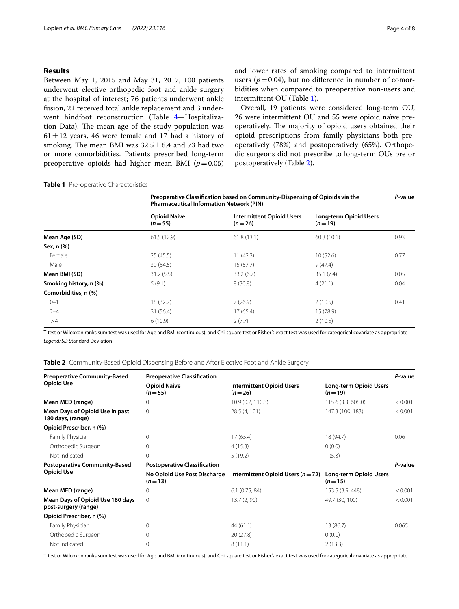# **Results**

Between May 1, 2015 and May 31, 2017, 100 patients underwent elective orthopedic foot and ankle surgery at the hospital of interest; 76 patients underwent ankle fusion, 21 received total ankle replacement and 3 underwent hindfoot reconstruction (Table [4—](#page-4-0)Hospitalization Data). The mean age of the study population was  $61 \pm 12$  vears, 46 were female and 17 had a history of smoking. The mean BMI was  $32.5 \pm 6.4$  and 73 had two or more comorbidities. Patients prescribed long-term preoperative opioids had higher mean BMI  $(p=0.05)$  and lower rates of smoking compared to intermittent users ( $p = 0.04$ ), but no difference in number of comorbidities when compared to preoperative non-users and intermittent OU (Table [1\)](#page-3-0).

Overall, 19 patients were considered long-term OU, 26 were intermittent OU and 55 were opioid naïve preoperatively. The majority of opioid users obtained their opioid prescriptions from family physicians both preoperatively (78%) and postoperatively (65%). Orthopedic surgeons did not prescribe to long-term OUs pre or postoperatively (Table [2](#page-3-1)).

### <span id="page-3-0"></span>**Table 1** Pre-operative Characteristics

|                        | Preoperative Classification based on Community-Dispensing of Opioids via the<br><b>Pharmaceutical Information Network (PIN)</b> |                                              |                                           |      |
|------------------------|---------------------------------------------------------------------------------------------------------------------------------|----------------------------------------------|-------------------------------------------|------|
|                        | <b>Opioid Naive</b><br>$(n=55)$                                                                                                 | <b>Intermittent Opioid Users</b><br>$(n=26)$ | <b>Long-term Opioid Users</b><br>$(n=19)$ |      |
| Mean Age (SD)          | 61.5(12.9)                                                                                                                      | 61.8(13.1)                                   | 60.3(10.1)                                | 0.93 |
| Sex, n (%)             |                                                                                                                                 |                                              |                                           |      |
| Female                 | 25(45.5)                                                                                                                        | 11(42.3)                                     | 10(52.6)                                  | 0.77 |
| Male                   | 30 (54.5)                                                                                                                       | 15(57.7)                                     | 9(47.4)                                   |      |
| Mean BMI (SD)          | 31.2(5.5)                                                                                                                       | 33.2(6.7)                                    | 35.1(7.4)                                 | 0.05 |
| Smoking history, n (%) | 5(9.1)                                                                                                                          | 8(30.8)                                      | 4(21.1)                                   | 0.04 |
| Comorbidities, n (%)   |                                                                                                                                 |                                              |                                           |      |
| $0 - 1$                | 18 (32.7)                                                                                                                       | 7(26.9)                                      | 2(10.5)                                   | 0.41 |
| $2 - 4$                | 31 (56.4)                                                                                                                       | 17(65.4)                                     | 15 (78.9)                                 |      |
| >4                     | 6(10.9)                                                                                                                         | 2(7.7)                                       | 2(10.5)                                   |      |

T-test or Wilcoxon ranks sum test was used for Age and BMI (continuous), and Chi-square test or Fisher's exact test was used for categorical covariate as appropriate *Legend: SD* Standard Deviation

<span id="page-3-1"></span>

|  |  |  |  | <b>Table 2</b> Community-Based Opioid Dispensing Before and After Elective Foot and Ankle Surgery |
|--|--|--|--|---------------------------------------------------------------------------------------------------|
|  |  |  |  |                                                                                                   |

| <b>Preoperative Community-Based</b>                      | <b>Preoperative Classification</b>       |                                              |                                           |         |  |
|----------------------------------------------------------|------------------------------------------|----------------------------------------------|-------------------------------------------|---------|--|
| <b>Opioid Use</b>                                        | <b>Opioid Naive</b><br>$(n=55)$          | <b>Intermittent Opioid Users</b><br>$(n=26)$ | <b>Long-term Opioid Users</b><br>$(n=19)$ |         |  |
| Mean MED (range)                                         | $\Omega$                                 | 10.9(0.2, 110.3)                             | 115.6 (3.3, 608.0)                        | < 0.001 |  |
| Mean Days of Opioid Use in past<br>180 days, (range)     | $\Omega$                                 | 28.5 (4, 101)                                | 147.3 (100, 183)                          | < 0.001 |  |
| Opioid Prescriber, n (%)                                 |                                          |                                              |                                           |         |  |
| Family Physician                                         | $\Omega$                                 | 17(65.4)                                     | 18 (94.7)                                 | 0.06    |  |
| Orthopedic Surgeon                                       | 0                                        | 4(15.3)                                      | 0(0.0)                                    |         |  |
| Not Indicated                                            | 0                                        | 5(19.2)                                      | 1(5.3)                                    |         |  |
| <b>Postoperative Community-Based</b>                     | <b>Postoperative Classification</b>      |                                              |                                           |         |  |
| <b>Opioid Use</b>                                        | No Opioid Use Post Discharge<br>$(n=13)$ | Intermittent Opioid Users $(n=72)$           | <b>Long-term Opioid Users</b><br>$(n=15)$ |         |  |
| Mean MED (range)                                         | $\Omega$                                 | 6.1(0.75, 84)                                | 153.5 (3.9, 448)                          | < 0.001 |  |
| Mean Days of Opioid Use 180 days<br>post-surgery (range) | $\Omega$                                 | 13.7(2, 90)                                  | 49.7 (30, 100)                            | < 0.001 |  |
| Opioid Prescriber, n (%)                                 |                                          |                                              |                                           |         |  |
| Family Physician                                         | 0                                        | 44(61.1)                                     | 13 (86.7)                                 | 0.065   |  |
| Orthopedic Surgeon                                       | 0                                        | 20(27.8)                                     | 0(0.0)                                    |         |  |
| Not indicated                                            | 0                                        | 8(11.1)                                      | 2(13.3)                                   |         |  |

T-test or Wilcoxon ranks sum test was used for Age and BMI (continuous), and Chi-square test or Fisher's exact test was used for categorical covariate as appropriate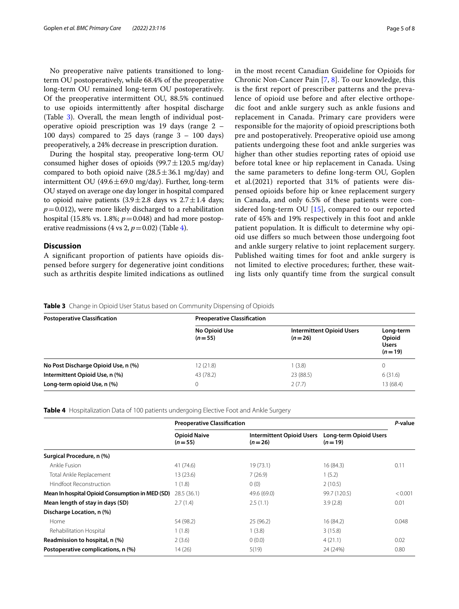No preoperative naïve patients transitioned to longterm OU postoperatively, while 68.4% of the preoperative long-term OU remained long-term OU postoperatively. Of the preoperative intermittent OU, 88.5% continued to use opioids intermittently after hospital discharge (Table [3](#page-4-1)). Overall, the mean length of individual postoperative opioid prescription was 19 days (range 2 – 100 days) compared to 25 days (range  $3 - 100$  days) preoperatively, a 24% decrease in prescription duration.

During the hospital stay, preoperative long-term OU consumed higher doses of opioids (99.7 $\pm$ 120.5 mg/day) compared to both opioid naive  $(28.5 \pm 36.1 \text{ mg/day})$  and intermittent OU (49.6 $\pm$ 69.0 mg/day). Further, long-term OU stayed on average one day longer in hospital compared to opioid naive patients  $(3.9 \pm 2.8$  days vs  $2.7 \pm 1.4$  days;  $p=0.012$ ), were more likely discharged to a rehabilitation hospital (15.8% vs. 1.8%;  $p=0.048$ ) and had more postoperative readmissions (4 vs 2,  $p = 0.02$ ) (Table [4\)](#page-4-0).

# **Discussion**

A signifcant proportion of patients have opioids dispensed before surgery for degenerative joint conditions such as arthritis despite limited indications as outlined in the most recent Canadian Guideline for Opioids for Chronic Non-Cancer Pain [\[7](#page-6-6), [8\]](#page-6-7). To our knowledge, this is the frst report of prescriber patterns and the prevalence of opioid use before and after elective orthopedic foot and ankle surgery such as ankle fusions and replacement in Canada. Primary care providers were responsible for the majority of opioid prescriptions both pre and postoperatively. Preoperative opioid use among patients undergoing these foot and ankle surgeries was higher than other studies reporting rates of opioid use before total knee or hip replacement in Canada. Using the same parameters to defne long-term OU, Goplen et al*.*(2021) reported that 31% of patients were dispensed opioids before hip or knee replacement surgery in Canada, and only 6.5% of these patients were considered long-term OU [[15\]](#page-7-5), compared to our reported rate of 45% and 19% respectively in this foot and ankle patient population. It is difficult to determine why opioid use difers so much between those undergoing foot and ankle surgery relative to joint replacement surgery. Published waiting times for foot and ankle surgery is not limited to elective procedures; further, these waiting lists only quantify time from the surgical consult

<span id="page-4-1"></span>**Table 3** Change in Opioid User Status based on Community Dispensing of Opioids

| <b>Postoperative Classification</b> | <b>Preoperative Classification</b> |                                              |                                                 |  |  |
|-------------------------------------|------------------------------------|----------------------------------------------|-------------------------------------------------|--|--|
|                                     | No Opioid Use<br>$(n=55)$          | <b>Intermittent Opioid Users</b><br>$(n=26)$ | Long-term<br>Opioid<br><b>Users</b><br>$(n=19)$ |  |  |
| No Post Discharge Opioid Use, n (%) | 12(21.8)                           | (3.8)                                        |                                                 |  |  |
| Intermittent Opioid Use, n (%)      | 43 (78.2)                          | 23 (88.5)                                    | 6(31.6)                                         |  |  |
| Long-term opioid Use, n (%)         |                                    | 2(7.7)                                       | 13 (68.4)                                       |  |  |

<span id="page-4-0"></span>**Table 4** Hospitalization Data of 100 patients undergoing Elective Foot and Ankle Surgery

|                                                 | <b>Preoperative Classification</b> |                                              |                                           |         |
|-------------------------------------------------|------------------------------------|----------------------------------------------|-------------------------------------------|---------|
|                                                 | <b>Opioid Naive</b><br>$(n=55)$    | <b>Intermittent Opioid Users</b><br>$(n=26)$ | <b>Long-term Opioid Users</b><br>$(n=19)$ |         |
| Surgical Procedure, n (%)                       |                                    |                                              |                                           |         |
| Ankle Fusion                                    | 41 (74.6)                          | 19 (73.1)                                    | 16(84.3)                                  | 0.11    |
| Total Ankle Replacement                         | 13 (23.6)                          | 7(26.9)                                      | 1(5.2)                                    |         |
| Hindfoot Reconstruction                         | 1(1.8)                             | 0(0)                                         | 2(10.5)                                   |         |
| Mean In hospital Opioid Consumption in MED (SD) | 28.5(36.1)                         | 49.6 (69.0)                                  | 99.7 (120.5)                              | < 0.001 |
| Mean length of stay in days (SD)                | 2.7(1.4)                           | 2.5(1.1)                                     | 3.9(2.8)                                  | 0.01    |
| Discharge Location, n (%)                       |                                    |                                              |                                           |         |
| Home                                            | 54 (98.2)                          | 25(96.2)                                     | 16 (84.2)                                 | 0.048   |
| Rehabilitation Hospital                         | 1(1.8)                             | 1(3.8)                                       | 3(15.8)                                   |         |
| Readmission to hospital, n (%)                  | 2(3.6)                             | 0(0.0)                                       | 4(21.1)                                   | 0.02    |
| Postoperative complications, n (%)              | 14 (26)                            | 5(19)                                        | 24 (24%)                                  | 0.80    |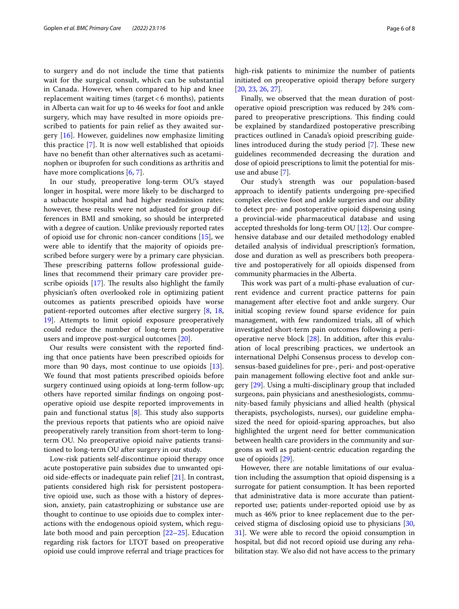to surgery and do not include the time that patients wait for the surgical consult, which can be substantial in Canada. However, when compared to hip and knee replacement waiting times (target < 6 months), patients in Alberta can wait for up to 46 weeks for foot and ankle surgery, which may have resulted in more opioids prescribed to patients for pain relief as they awaited surgery [[16\]](#page-7-6). However, guidelines now emphasize limiting this practice [\[7](#page-6-6)]. It is now well established that opioids have no beneft than other alternatives such as acetaminophen or ibuprofen for such conditions as arthritis and have more complications [[6,](#page-6-5) [7\]](#page-6-6).

In our study, preoperative long-term OU's stayed longer in hospital, were more likely to be discharged to a subacute hospital and had higher readmission rates; however, these results were not adjusted for group differences in BMI and smoking, so should be interpreted with a degree of caution. Unlike previously reported rates of opioid use for chronic non-cancer conditions [[15\]](#page-7-5), we were able to identify that the majority of opioids prescribed before surgery were by a primary care physician. These prescribing patterns follow professional guidelines that recommend their primary care provider prescribe opioids  $[17]$  $[17]$ . The results also highlight the family physician's often overlooked role in optimizing patient outcomes as patients prescribed opioids have worse patient-reported outcomes after elective surgery [\[8](#page-6-7), [18](#page-7-8), [19\]](#page-7-9). Attempts to limit opioid exposure preoperatively could reduce the number of long-term postoperative users and improve post-surgical outcomes [\[20](#page-7-10)].

Our results were consistent with the reported fnding that once patients have been prescribed opioids for more than 90 days, most continue to use opioids  $[13]$  $[13]$ . We found that most patients prescribed opioids before surgery continued using opioids at long-term follow-up; others have reported similar fndings on ongoing postoperative opioid use despite reported improvements in pain and functional status  $[8]$  $[8]$ . This study also supports the previous reports that patients who are opioid naïve preoperatively rarely transition from short-term to longterm OU. No preoperative opioid naïve patients transitioned to long-term OU after surgery in our study.

Low-risk patients self-discontinue opioid therapy once acute postoperative pain subsides due to unwanted opioid side-efects or inadequate pain relief [[21\]](#page-7-11). In contrast, patients considered high risk for persistent postoperative opioid use, such as those with a history of depression, anxiety, pain catastrophizing or substance use are thought to continue to use opioids due to complex interactions with the endogenous opioid system, which regulate both mood and pain perception [[22](#page-7-12)[–25](#page-7-13)]. Education regarding risk factors for LTOT based on preoperative opioid use could improve referral and triage practices for high-risk patients to minimize the number of patients initiated on preoperative opioid therapy before surgery [[20,](#page-7-10) [23](#page-7-14), [26,](#page-7-15) [27\]](#page-7-16).

Finally, we observed that the mean duration of postoperative opioid prescription was reduced by 24% compared to preoperative prescriptions. This finding could be explained by standardized postoperative prescribing practices outlined in Canada's opioid prescribing guidelines introduced during the study period  $[7]$  $[7]$ . These new guidelines recommended decreasing the duration and dose of opioid prescriptions to limit the potential for misuse and abuse [[7\]](#page-6-6).

Our study's strength was our population-based approach to identify patients undergoing pre-specifed complex elective foot and ankle surgeries and our ability to detect pre- and postoperative opioid dispensing using a provincial-wide pharmaceutical database and using accepted thresholds for long-term OU [[12\]](#page-7-2). Our comprehensive database and our detailed methodology enabled detailed analysis of individual prescription's formation, dose and duration as well as prescribers both preoperative and postoperatively for all opioids dispensed from community pharmacies in the Alberta.

This work was part of a multi-phase evaluation of current evidence and current practice patterns for pain management after elective foot and ankle surgery. Our initial scoping review found sparse evidence for pain management, with few randomized trials, all of which investigated short-term pain outcomes following a perioperative nerve block [[28](#page-7-17)]. In addition, after this evaluation of local prescribing practices, we undertook an international Delphi Consensus process to develop consensus-based guidelines for pre-, peri- and post-operative pain management following elective foot and ankle surgery [[29](#page-7-18)]. Using a multi-disciplinary group that included surgeons, pain physicians and anesthesiologists, community-based family physicians and allied health (physical therapists, psychologists, nurses), our guideline emphasized the need for opioid-sparing approaches, but also highlighted the urgent need for better communication between health care providers in the community and surgeons as well as patient-centric education regarding the use of opioids [[29](#page-7-18)].

However, there are notable limitations of our evaluation including the assumption that opioid dispensing is a surrogate for patient consumption. It has been reported that administrative data is more accurate than patientreported use; patients under-reported opioid use by as much as 46% prior to knee replacement due to the perceived stigma of disclosing opioid use to physicians [[30](#page-7-19), [31\]](#page-7-20). We were able to record the opioid consumption in hospital, but did not record opioid use during any rehabilitation stay. We also did not have access to the primary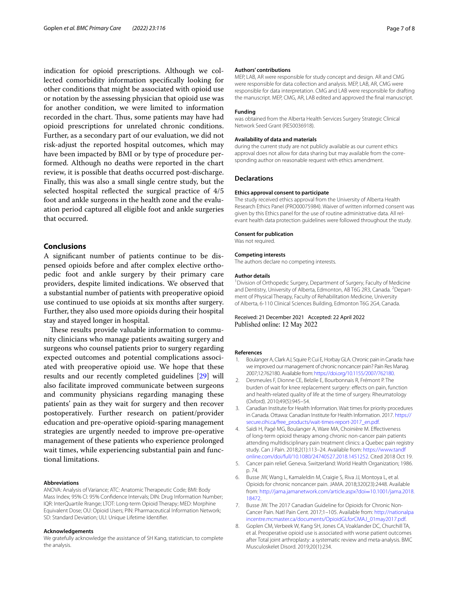indication for opioid prescriptions. Although we collected comorbidity information specifcally looking for other conditions that might be associated with opioid use or notation by the assessing physician that opioid use was for another condition, we were limited to information recorded in the chart. Thus, some patients may have had opioid prescriptions for unrelated chronic conditions. Further, as a secondary part of our evaluation, we did not risk-adjust the reported hospital outcomes, which may have been impacted by BMI or by type of procedure performed. Although no deaths were reported in the chart review, it is possible that deaths occurred post-discharge. Finally, this was also a small single centre study, but the selected hospital refected the surgical practice of 4/5 foot and ankle surgeons in the health zone and the evaluation period captured all eligible foot and ankle surgeries that occurred.

# **Conclusions**

A signifcant number of patients continue to be dispensed opioids before and after complex elective orthopedic foot and ankle surgery by their primary care providers, despite limited indications. We observed that a substantial number of patients with preoperative opioid use continued to use opioids at six months after surgery. Further, they also used more opioids during their hospital stay and stayed longer in hospital.

These results provide valuable information to community clinicians who manage patients awaiting surgery and surgeons who counsel patients prior to surgery regarding expected outcomes and potential complications associated with preoperative opioid use. We hope that these results and our recently completed guidelines [[29](#page-7-18)] will also facilitate improved communicate between surgeons and community physicians regarding managing these patients' pain as they wait for surgery and then recover postoperatively. Further research on patient/provider education and pre-operative opioid-sparing management strategies are urgently needed to improve pre-operative management of these patients who experience prolonged wait times, while experiencing substantial pain and functional limitations.

#### **Abbreviations**

ANOVA: Analysis of Variance; ATC: Anatomic Therapeutic Code; BMI: Body Mass Index; 95% CI: 95% Confdence Intervals; DIN: Drug Information Number; IQR: InterQuartile Rrange; LTOT: Long-term Opioid Therapy; MED: Morphine Equivalent Dose; OU: Opioid Users; PIN: Pharmaceutical Information Network; SD: Standard Deviation; ULI: Unique Lifetime Identifer.

#### **Acknowledgements**

We gratefully acknowledge the assistance of SH Kang, statistician, to complete the analysis.

#### **Authors' contributions**

MEP, LAB, AR were responsible for study concept and design. AR and CMG were responsible for data collection and analysis. MEP, LAB, AR, CMG were responsible for data interpretation. CMG and LAB were responsible for drafting the manuscript. MEP, CMG, AR, LAB edited and approved the fnal manuscript.

#### **Funding**

was obtained from the Alberta Health Services Surgery Strategic Clinical Network Seed Grant (RES0036918).

#### **Availability of data and materials**

during the current study are not publicly available as our current ethics approval does not allow for data sharing but may available from the corresponding author on reasonable request with ethics amendment.

#### **Declarations**

#### **Ethics approval consent to participate**

The study received ethics approval from the University of Alberta Health Research Ethics Panel (PRO00075984). Waiver of written informed consent was given by this Ethics panel for the use of routine administrative data. All relevant health data protection guidelines were followed throughout the study.

### **Consent for publication**

Was not required.

#### **Competing interests**

The authors declare no competing interests.

#### **Author details**

<sup>1</sup> Division of Orthopedic Surgery, Department of Surgery, Faculty of Medicine and Dentistry, University of Alberta, Edmonton, AB T6G 2R3, Canada. <sup>2</sup> Department of Physical Therapy, Faculty of Rehabilitation Medicine, University of Alberta, 6-110 Clinical Sciences Building, Edmonton T6G 2G4, Canada.

#### Received: 21 December 2021 Accepted: 22 April 2022 Published online: 12 May 2022

#### **References**

- <span id="page-6-0"></span>1. Boulanger A, Clark AJ, Squire P, Cui E, Horbay GLA. Chronic pain in Canada: have we improved our management of chronic noncancer pain? Pain Res Manag. 2007;12:762180. Available from:<https://doi.org/10.1155/2007/762180>.
- <span id="page-6-1"></span>2. Desmeules F, Dionne CE, Belzile E, Bourbonnais R, Frémont P. The burden of wait for knee replacement surgery: effects on pain, function and health-related quality of life at the time of surgery. Rheumatology (Oxford). 2010;49(5):945–54.
- <span id="page-6-2"></span>3. Canadian Institute for Health Information. Wait times for priority procedures in Canada. Ottawa: Canadian Institute for Health Information. 2017. [https://](https://secure.cihi.ca/free_products/wait-times-report-2017_en.pdf) [secure.cihi.ca/free\\_products/wait-times-report-2017\\_en.pdf](https://secure.cihi.ca/free_products/wait-times-report-2017_en.pdf).
- <span id="page-6-3"></span>4. Saïdi H, Pagé MG, Boulanger A, Ware MA, Choinière M. Efectiveness of long-term opioid therapy among chronic non-cancer pain patients attending multidisciplinary pain treatment clinics: a Quebec pain registry study. Can J Pain. 2018;2(1):113–24. Available from: [https://www.tandf](https://www.tandfonline.com/doi/full/10.1080/24740527.2018.1451252) [online.com/doi/full/10.1080/24740527.2018.1451252.](https://www.tandfonline.com/doi/full/10.1080/24740527.2018.1451252) Cited 2018 Oct 19.
- <span id="page-6-4"></span>5. Cancer pain relief. Geneva. Switzerland: World Health Organization; 1986. p. 74.
- <span id="page-6-5"></span>6. Busse JW, Wang L, Kamaleldin M, Craigie S, Riva JJ, Montoya L, et al. Opioids for chronic noncancer pain. JAMA. 2018;320(23):2448. Available from: [http://jama.jamanetwork.com/article.aspx?doi](http://jama.jamanetwork.com/article.aspx?doi=10.1001/jama.2018.18472)=10.1001/jama.2018. [18472](http://jama.jamanetwork.com/article.aspx?doi=10.1001/jama.2018.18472).
- <span id="page-6-6"></span>7. Busse JW. The 2017 Canadian Guideline for Opioids for Chronic Non-Cancer Pain. Natl Pain Cent. 2017;1–105. Available from: [http://nationalpa](http://nationalpaincentre.mcmaster.ca/documents/OpioidGLforCMAJ_01may2017.pdf) [incentre.mcmaster.ca/documents/OpioidGLforCMAJ\\_01may2017.pdf](http://nationalpaincentre.mcmaster.ca/documents/OpioidGLforCMAJ_01may2017.pdf).
- <span id="page-6-7"></span>8. Goplen CM, Verbeek W, Kang SH, Jones CA, Voaklander DC, Churchill TA, et al. Preoperative opioid use is associated with worse patient outcomes after Total joint arthroplasty: a systematic review and meta-analysis. BMC Musculoskelet Disord. 2019;20(1):234.